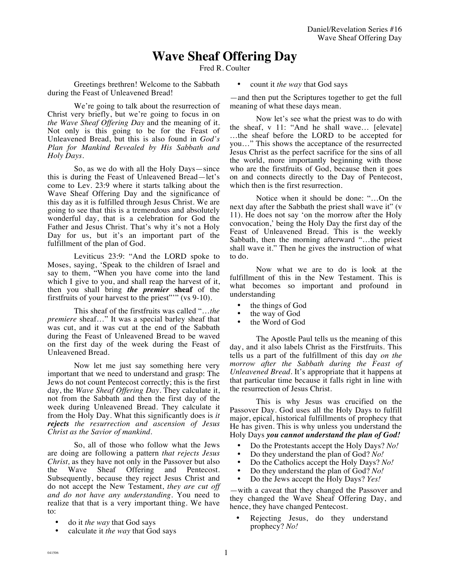# **Wave Sheaf Offering Day**

Fred R. Coulter

Greetings brethren! Welcome to the Sabbath during the Feast of Unleavened Bread!

We're going to talk about the resurrection of Christ very briefly, but we're going to focus in on *the Wave Sheaf Offering Day* and the meaning of it. Not only is this going to be for the Feast of Unleavened Bread, but this is also found in *God's Plan for Mankind Revealed by His Sabbath and Holy Days.* 

So, as we do with all the Holy Days—since this is during the Feast of Unleavened Bread—let's come to Lev. 23:9 where it starts talking about the Wave Sheaf Offering Day and the significance of this day as it is fulfilled through Jesus Christ. We are going to see that this is a tremendous and absolutely wonderful day, that is a celebration for God the Father and Jesus Christ. That's why it's not a Holy Day for us, but it's an important part of the fulfillment of the plan of God.

Leviticus 23:9: "And the LORD spoke to Moses, saying, 'Speak to the children of Israel and say to them, "When you have come into the land which I give to you, and shall reap the harvest of it, then you shall bring *the premier* **sheaf** of the firstfruits of your harvest to the priest"" (vs 9-10).

This sheaf of the firstfruits was called "…*the premiere* sheaf…" It was a special barley sheaf that was cut, and it was cut at the end of the Sabbath during the Feast of Unleavened Bread to be waved on the first day of the week during the Feast of Unleavened Bread.

Now let me just say something here very important that we need to understand and grasp: The Jews do not count Pentecost correctly; this is the first day, the *Wave Sheaf Offering Day.* They calculate it, not from the Sabbath and then the first day of the week during Unleavened Bread. They calculate it from the Holy Day. What this significantly does is *it rejects the resurrection and ascension of Jesus Christ as the Savior of mankind.*

So, all of those who follow what the Jews are doing are following a pattern *that rejects Jesus Christ,* as they have not only in the Passover but also the Wave Sheaf Offering and Pentecost. Subsequently, because they reject Jesus Christ and do not accept the New Testament, *they are cut off and do not have any understanding.* You need to realize that that is a very important thing. We have to:

- do it *the way* that God says
- calculate it *the way* that God says

• count it *the way* that God says

—and then put the Scriptures together to get the full meaning of what these days mean.

Now let's see what the priest was to do with the sheaf, v 11: "And he shall wave… [elevate] …the sheaf before the LORD to be accepted for you…" This shows the acceptance of the resurrected Jesus Christ as the perfect sacrifice for the sins of all the world, more importantly beginning with those who are the firstfruits of God, because then it goes on and connects directly to the Day of Pentecost, which then is the first resurrection.

Notice when it should be done: "…On the next day after the Sabbath the priest shall wave it" (v 11). He does not say 'on the morrow after the Holy convocation,' being the Holy Day the first day of the Feast of Unleavened Bread. This is the weekly Sabbath, then the morning afterward "…the priest shall wave it." Then he gives the instruction of what to do.

Now what we are to do is look at the fulfillment of this in the New Testament. This is what becomes so important and profound in understanding

- the things of God
- the way of God
- the Word of God

The Apostle Paul tells us the meaning of this day, and it also labels Christ as the Firstfruits. This tells us a part of the fulfillment of this day *on the morrow after the Sabbath during the Feast of Unleavened Bread.* It's appropriate that it happens at that particular time because it falls right in line with the resurrection of Jesus Christ.

This is why Jesus was crucified on the Passover Day. God uses all the Holy Days to fulfill major, epical, historical fulfillments of prophecy that He has given. This is why unless you understand the Holy Days *you cannot understand the plan of God!*

- Do the Protestants accept the Holy Days? *No!*
- Do they understand the plan of God? *No!*
- Do the Catholics accept the Holy Days? *No!*
- Do they understand the plan of God? *No!*
- Do the Jews accept the Holy Days? *Yes!*

—with a caveat that they changed the Passover and they changed the Wave Sheaf Offering Day, and hence, they have changed Pentecost.

Rejecting Jesus, do they understand prophecy? *No!*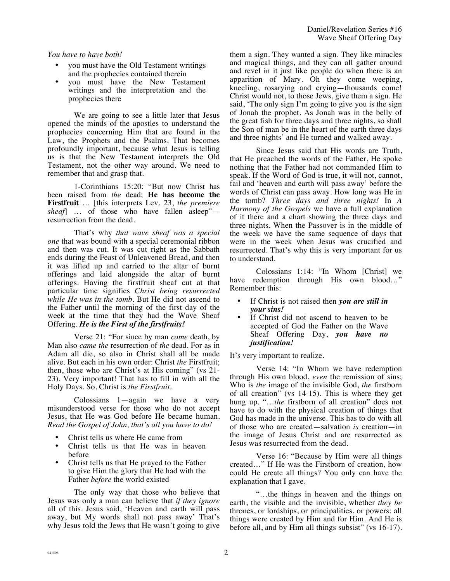# *You have to have both!*

- you must have the Old Testament writings and the prophecies contained therein
- you must have the New Testament writings and the interpretation and the prophecies there

We are going to see a little later that Jesus opened the minds of the apostles to understand the prophecies concerning Him that are found in the Law, the Prophets and the Psalms. That becomes profoundly important, because what Jesus is telling us is that the New Testament interprets the Old Testament, not the other way around. We need to remember that and grasp that.

1-Corinthians 15:20: "But now Christ has been raised from *the* dead; **He has become the Firstfruit** … [this interprets Lev. 23, *the premiere sheaf*] … of those who have fallen asleep" resurrection from the dead.

That's why *that wave sheaf was a special one* that was bound with a special ceremonial ribbon and then was cut. It was cut right as the Sabbath ends during the Feast of Unleavened Bread, and then it was lifted up and carried to the altar of burnt offerings and laid alongside the altar of burnt offerings. Having the firstfruit sheaf cut at that particular time signifies *Christ being resurrected while He was in the tomb.* But He did not ascend to the Father until the morning of the first day of the week at the time that they had the Wave Sheaf Offering. *He is the First of the firstfruits!*

Verse 21: "For since by man *came* death, by Man also *came the* resurrection of *the* dead. For as in Adam all die, so also in Christ shall all be made alive. But each in his own order: Christ *the* Firstfruit; then, those who are Christ's at His coming" (vs 21- 23). Very important! That has to fill in with all the Holy Days. So, Christ is *the Firstfruit*.

Colossians 1—again we have a very misunderstood verse for those who do not accept Jesus, that He was God before He became human. *Read the Gospel of John, that's all you have to do!* 

- Christ tells us where He came from
- Christ tells us that He was in heaven before
- Christ tells us that He prayed to the Father to give Him the glory that He had with the Father *before* the world existed

The only way that those who believe that Jesus was only a man can believe that *if they ignore* all of this. Jesus said, 'Heaven and earth will pass away, but My words shall not pass away' That's why Jesus told the Jews that He wasn't going to give them a sign. They wanted a sign. They like miracles and magical things, and they can all gather around and revel in it just like people do when there is an apparition of Mary. Oh they come weeping, kneeling, rosarying and crying—thousands come! Christ would not, to those Jews, give them a sign. He said, 'The only sign I'm going to give you is the sign of Jonah the prophet. As Jonah was in the belly of the great fish for three days and three nights, so shall the Son of man be in the heart of the earth three days and three nights' and He turned and walked away.

Since Jesus said that His words are Truth, that He preached the words of the Father, He spoke nothing that the Father had not commanded Him to speak. If the Word of God is true, it will not, cannot, fail and 'heaven and earth will pass away' before the words of Christ can pass away. How long was He in the tomb? *Three days and three nights!* In *A Harmony of the Gospels* we have a full explanation of it there and a chart showing the three days and three nights. When the Passover is in the middle of the week we have the same sequence of days that were in the week when Jesus was crucified and resurrected. That's why this is very important for us to understand.

Colossians 1:14: "In Whom [Christ] we have redemption through His own blood…" Remember this:

- If Christ is not raised then *you are still in your sins!*
- If Christ did not ascend to heaven to be accepted of God the Father on the Wave Sheaf Offering Day, *you have no justification!*

It's very important to realize.

Verse 14: "In Whom we have redemption through His own blood, *even* the remission of sins; Who is *the* image of the invisible God, *the* firstborn of all creation" (vs 14-15). This is where they get hung up. "…*the* firstborn of all creation" does not have to do with the physical creation of things that God has made in the universe. This has to do with all of those who are created—salvation *is* creation—in the image of Jesus Christ and are resurrected as Jesus was resurrected from the dead.

Verse 16: "Because by Him were all things created…" If He was the Firstborn of creation, how could He create all things? You only can have the explanation that I gave.

"…the things in heaven and the things on earth, the visible and the invisible, whether *they be* thrones, or lordships, or principalities, or powers: all things were created by Him and for Him. And He is before all, and by Him all things subsist" (vs 16-17).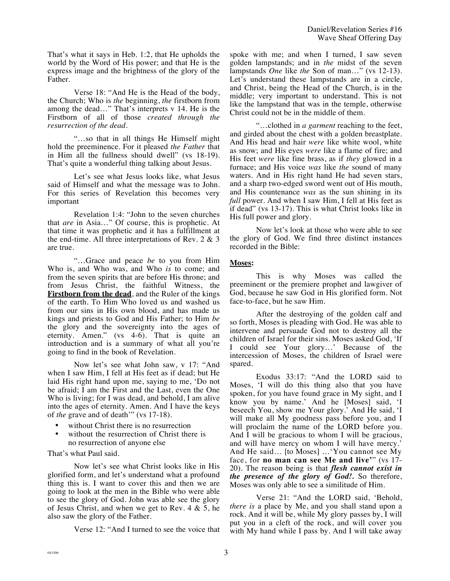That's what it says in Heb. 1:2, that He upholds the world by the Word of His power; and that He is the express image and the brightness of the glory of the Father.

Verse 18: "And He is the Head of the body, the Church; Who is *the* beginning, *the* firstborn from among the dead…" That's interprets v 14. He is the Firstborn of all of those *created through the resurrection of the dead.* 

"…so that in all things He Himself might hold the preeminence. For it pleased *the Father* that in Him all the fullness should dwell" (vs 18-19). That's quite a wonderful thing talking about Jesus.

Let's see what Jesus looks like, what Jesus said of Himself and what the message was to John. For this series of Revelation this becomes very important

Revelation 1:4: "John to the seven churches that *are* in Asia…" Of course, this is prophetic. At that time it was prophetic and it has a fulfillment at the end-time. All three interpretations of Rev.  $2 \& 3$ are true.

"…Grace and peace *be* to you from Him Who is, and Who was, and Who *is* to come; and from the seven spirits that are before His throne; and from Jesus Christ, the faithful Witness, the **Firstborn from the dead**, and the Ruler of the kings of the earth. To Him Who loved us and washed us from our sins in His own blood, and has made us kings and priests to God and His Father; to Him *be* the glory and the sovereignty into the ages of eternity. Amen." (vs 4-6). That is quite an introduction and is a summary of what all you're going to find in the book of Revelation.

Now let's see what John saw, v 17: "And when I saw Him, I fell at His feet as if dead; but He laid His right hand upon me, saying to me, 'Do not be afraid; I am the First and the Last, even the One Who is living; for I was dead, and behold, I am alive into the ages of eternity. Amen. And I have the keys of *the* grave and of death'" (vs 17-18).

- without Christ there is no resurrection
- without the resurrection of Christ there is no resurrection of anyone else

That's what Paul said.

Now let's see what Christ looks like in His glorified form, and let's understand what a profound thing this is. I want to cover this and then we are going to look at the men in the Bible who were able to see the glory of God. John was able see the glory of Jesus Christ, and when we get to Rev.  $4 \& 5$ , he also saw the glory of the Father.

Verse 12: "And I turned to see the voice that

spoke with me; and when I turned, I saw seven golden lampstands; and in *the* midst of the seven lampstands *One* like *the* Son of man…" (vs 12-13). Let's understand these lampstands are in a circle, and Christ, being the Head of the Church, is in the middle; very important to understand. This is not like the lampstand that was in the temple, otherwise Christ could not be in the middle of them.

"…clothed in *a garment* reaching to the feet, and girded about the chest with a golden breastplate. And His head and hair *were* like white wool, white as snow; and His eyes *were* like a flame of fire; and His feet *were* like fine brass, as if *they* glowed in a furnace; and His voice *was* like *the* sound of many waters. And in His right hand He had seven stars, and a sharp two-edged sword went out of His mouth, and His countenance *was* as the sun shining in its *full* power. And when I saw Him, I fell at His feet as if dead" (vs 13-17). This is what Christ looks like in His full power and glory.

Now let's look at those who were able to see the glory of God. We find three distinct instances recorded in the Bible:

### **Moses:**

This is why Moses was called the preeminent or the premiere prophet and lawgiver of God, because he saw God in His glorified form. Not face-to-face, but he saw Him.

After the destroying of the golden calf and so forth, Moses is pleading with God. He was able to intervene and persuade God not to destroy all the children of Israel for their sins. Moses asked God, 'If I could see Your glory…' Because of the intercession of Moses, the children of Israel were spared.

Exodus 33:17: "And the LORD said to Moses, 'I will do this thing also that you have spoken, for you have found grace in My sight, and I know you by name.' And he [Moses] said, 'I beseech You, show me Your glory.' And He said, 'I will make all My goodness pass before you, and I will proclaim the name of the LORD before you. And I will be gracious to whom I will be gracious, and will have mercy on whom I will have mercy.' And He said… [to Moses] …'You cannot see My face, for **no man can see Me and live'**" (vs 17- 20). The reason being is that *flesh cannot exist in the presence of the glory of God!.* So therefore, Moses was only able to see a similitude of Him.

Verse 21: "And the LORD said, 'Behold, *there is* a place by Me, and you shall stand upon a rock. And it will be, while My glory passes by, I will put you in a cleft of the rock, and will cover you with My hand while I pass by. And I will take away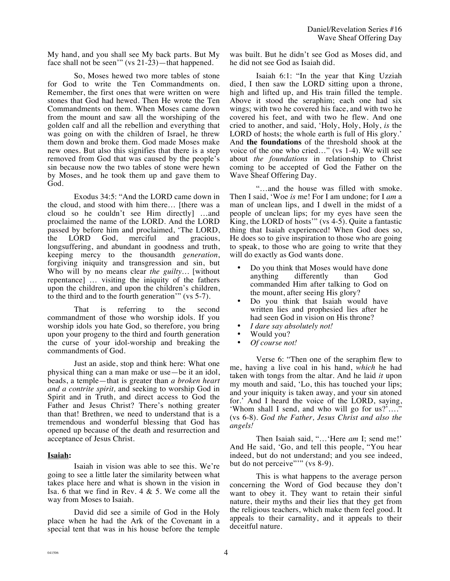My hand, and you shall see My back parts. But My face shall not be seen'" (vs 21-23)—that happened.

So, Moses hewed two more tables of stone for God to write the Ten Commandments on. Remember, the first ones that were written on were stones that God had hewed. Then He wrote the Ten Commandments on them. When Moses came down from the mount and saw all the worshiping of the golden calf and all the rebellion and everything that was going on with the children of Israel, he threw them down and broke them. God made Moses make new ones. But also this signifies that there is a step removed from God that was caused by the people's sin because now the two tables of stone were hewn by Moses, and he took them up and gave them to God.

Exodus 34:5: "And the LORD came down in the cloud, and stood with him there… [there was a cloud so he couldn't see Him directly] …and proclaimed the name of the LORD. And the LORD passed by before him and proclaimed, 'The LORD, the LORD God, merciful and gracious, longsuffering, and abundant in goodness and truth, keeping mercy to the thousandth *generation*, forgiving iniquity and transgression and sin, but Who will by no means clear *the guilty…* [without repentance] … visiting the iniquity of the fathers upon the children, and upon the children's children, to the third and to the fourth generation'" (vs 5-7).

That is referring to the second commandment of those who worship idols. If you worship idols you hate God, so therefore, you bring upon your progeny to the third and fourth generation the curse of your idol-worship and breaking the commandments of God.

Just an aside, stop and think here: What one physical thing can a man make or use—be it an idol, beads, a temple—that is greater than *a broken heart and a contrite spirit,* and seeking to worship God in Spirit and in Truth, and direct access to God the Father and Jesus Christ? There's nothing greater than that! Brethren, we need to understand that is a tremendous and wonderful blessing that God has opened up because of the death and resurrection and acceptance of Jesus Christ.

# **Isaiah:**

Isaiah in vision was able to see this. We're going to see a little later the similarity between what takes place here and what is shown in the vision in Isa. 6 that we find in Rev. 4  $&$  5. We come all the way from Moses to Isaiah.

David did see a simile of God in the Holy place when he had the Ark of the Covenant in a special tent that was in his house before the temple was built. But he didn't see God as Moses did, and he did not see God as Isaiah did.

Isaiah 6:1: "In the year that King Uzziah died, I then saw the LORD sitting upon a throne, high and lifted up, and His train filled the temple. Above it stood the seraphim; each one had six wings; with two he covered his face, and with two he covered his feet, and with two he flew. And one cried to another, and said, 'Holy, Holy, Holy, *is* the LORD of hosts; the whole earth is full of His glory.' And **the foundations** of the threshold shook at the voice of the one who cried…" (vs 1-4). We will see about *the foundations* in relationship to Christ coming to be accepted of God the Father on the Wave Sheaf Offering Day.

"…and the house was filled with smoke. Then I said, 'Woe *is* me! For I am undone; for I *am* a man of unclean lips, and I dwell in the midst of a people of unclean lips; for my eyes have seen the  $King,$  the LORD of hosts" (vs  $4-5$ ). Quite a fantastic thing that Isaiah experienced! When God does so, He does so to give inspiration to those who are going to speak, to those who are going to write that they will do exactly as God wants done.

- Do you think that Moses would have done anything differently than God commanded Him after talking to God on the mount, after seeing His glory?
- Do you think that Isaiah would have written lies and prophesied lies after he had seen God in vision on His throne?
- *I dare say absolutely not!*
- Would you?
- *Of course not!*

Verse 6: "Then one of the seraphim flew to me, having a live coal in his hand, *which* he had taken with tongs from the altar. And he laid *it* upon my mouth and said, 'Lo, this has touched your lips; and your iniquity is taken away, and your sin atoned for.' And I heard the voice of the LORD, saying, 'Whom shall I send, and who will go for us?'…." (vs 6-8). *God the Father, Jesus Christ and also the angels!* 

Then Isaiah said, "…'Here *am* I; send me!' And He said, 'Go, and tell this people, "You hear indeed, but do not understand; and you see indeed, but do not perceive""" (vs 8-9).

This is what happens to the average person concerning the Word of God because they don't want to obey it. They want to retain their sinful nature, their myths and their lies that they get from the religious teachers, which make them feel good. It appeals to their carnality, and it appeals to their deceitful nature.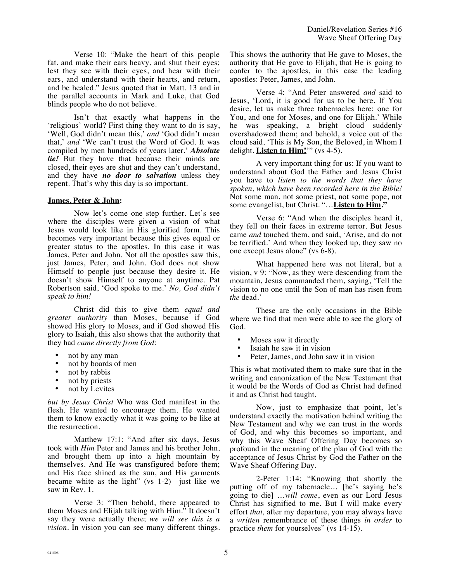Verse 10: "Make the heart of this people fat, and make their ears heavy, and shut their eyes; lest they see with their eyes, and hear with their ears, and understand with their hearts, and return, and be healed." Jesus quoted that in Matt. 13 and in the parallel accounts in Mark and Luke, that God blinds people who do not believe.

Isn't that exactly what happens in the 'religious' world? First thing they want to do is say, 'Well, God didn't mean this,' *and* 'God didn't mean that,' *and* 'We can't trust the Word of God. It was compiled by men hundreds of years later.' *Absolute lie!* But they have that because their minds are closed, their eyes are shut and they can't understand, and they have *no door to salvation* unless they repent. That's why this day is so important.

### **James, Peter & John:**

Now let's come one step further. Let's see where the disciples were given a vision of what Jesus would look like in His glorified form. This becomes very important because this gives equal or greater status to the apostles. In this case it was James, Peter and John. Not all the apostles saw this, just James, Peter, and John. God does not show Himself to people just because they desire it. He doesn't show Himself to anyone at anytime. Pat Robertson said, 'God spoke to me.' *No, God didn't speak to him!*

Christ did this to give them *equal and greater authority* than Moses, because if God showed His glory to Moses, and if God showed His glory to Isaiah, this also shows that the authority that they had *came directly from God*:

- not by any man
- not by boards of men
- not by rabbis
- not by priests<br>• not by Levites
- not by Levites

*but by Jesus Christ* Who was God manifest in the flesh. He wanted to encourage them. He wanted them to know exactly what it was going to be like at the resurrection.

Matthew 17:1: "And after six days, Jesus took with *Him* Peter and James and his brother John, and brought them up into a high mountain by themselves. And He was transfigured before them; and His face shined as the sun, and His garments became white as the light" (vs  $1-2$ )—just like we saw in Rev. 1.

Verse 3: "Then behold, there appeared to them Moses and Elijah talking with Him." It doesn't say they were actually there; *we will see this is a vision*. In vision you can see many different things. This shows the authority that He gave to Moses, the authority that He gave to Elijah, that He is going to confer to the apostles, in this case the leading apostles: Peter, James, and John.

Verse 4: "And Peter answered *and* said to Jesus, 'Lord, it is good for us to be here. If You desire, let us make three tabernacles here: one for You, and one for Moses, and one for Elijah.' While he was speaking, a bright cloud suddenly overshadowed them; and behold, a voice out of the cloud said, 'This is My Son, the Beloved, in Whom I delight. **Listen to Him!**'" (vs 4-5).

A very important thing for us: If you want to understand about God the Father and Jesus Christ you have to *listen to the words that they have spoken, which have been recorded here in the Bible!* Not some man, not some priest, not some pope, not some evangelist, but Christ. "…**Listen to Him."**

Verse 6: "And when the disciples heard it, they fell on their faces in extreme terror. But Jesus came *and* touched them, and said, 'Arise, and do not be terrified.' And when they looked up, they saw no one except Jesus alone" (vs 6-8).

What happened here was not literal, but a vision, v 9: "Now, as they were descending from the mountain, Jesus commanded them, saying, 'Tell the vision to no one until the Son of man has risen from *the* dead.'

These are the only occasions in the Bible where we find that men were able to see the glory of God.

- Moses saw it directly
- Isaiah he saw it in vision
- Peter, James, and John saw it in vision

This is what motivated them to make sure that in the writing and canonization of the New Testament that it would be the Words of God as Christ had defined it and as Christ had taught.

Now, just to emphasize that point, let's understand exactly the motivation behind writing the New Testament and why we can trust in the words of God, and why this becomes so important, and why this Wave Sheaf Offering Day becomes so profound in the meaning of the plan of God with the acceptance of Jesus Christ by God the Father on the Wave Sheaf Offering Day.

2-Peter 1:14: "Knowing that shortly the putting off of my tabernacle… [he's saying he's going to die] …*will come*, even as our Lord Jesus Christ has signified to me. But I will make every effort *that,* after my departure, you may always have a *written* remembrance of these things *in order* to practice *them* for yourselves" (vs 14-15).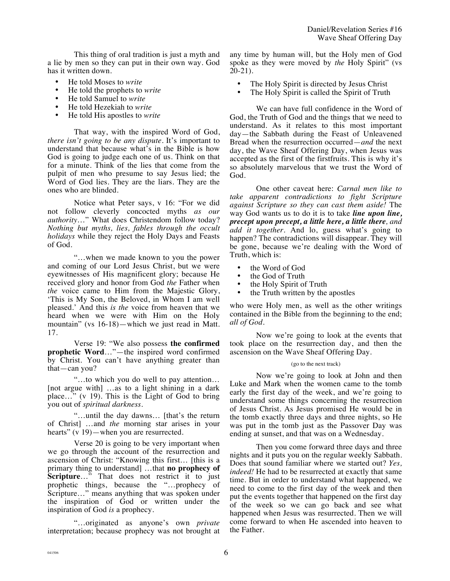This thing of oral tradition is just a myth and a lie by men so they can put in their own way. God has it written down.

- He told Moses to *write*
- He told the prophets to *write*
- He told Samuel to *write*
- He told Hezekiah to *write*
- He told His apostles to *write*

That way, with the inspired Word of God, *there isn't going to be any dispute*. It's important to understand that because what's in the Bible is how God is going to judge each one of us. Think on that for a minute. Think of the lies that come from the pulpit of men who presume to say Jesus lied; the Word of God lies. They are the liars. They are the ones who are blinded.

Notice what Peter says, v 16: "For we did not follow cleverly concocted myths *as our authority*…" What does Christendom follow today? *Nothing but myths, lies, fables through the occult holidays* while they reject the Holy Days and Feasts of God.

"…when we made known to you the power and coming of our Lord Jesus Christ, but we were eyewitnesses of His magnificent glory; because He received glory and honor from God *the* Father when *the* voice came to Him from the Majestic Glory, 'This is My Son, the Beloved, in Whom I am well pleased.' And this *is the* voice from heaven that we heard when we were with Him on the Holy mountain" (vs 16-18)—which we just read in Matt. 17.

Verse 19: "We also possess **the confirmed prophetic Word**…"—the inspired word confirmed by Christ. You can't have anything greater than that—can you?

"…to which you do well to pay attention… [not argue with] …as to a light shining in a dark place…" (v 19). This is the Light of God to bring you out of *spiritual darkness*.

"…until the day dawns… [that's the return of Christ] …and *the* morning star arises in your hearts" (v 19)—when you are resurrected.

Verse 20 is going to be very important when we go through the account of the resurrection and ascension of Christ: "Knowing this first… [this is a primary thing to understand] …that **no prophecy of**  Scripture...<sup>"</sup> That does not restrict it to just prophetic things, because the "…prophecy of Scripture…" means anything that was spoken under the inspiration of God or written under the inspiration of God *is* a prophecy.

"…originated as anyone's own *private*  interpretation; because prophecy was not brought at any time by human will, but the Holy men of God spoke as they were moved by *the* Holy Spirit" (vs 20-21).

- The Holy Spirit is directed by Jesus Christ
- The Holy Spirit is called the Spirit of Truth

We can have full confidence in the Word of God, the Truth of God and the things that we need to understand. As it relates to this most important day—the Sabbath during the Feast of Unleavened Bread when the resurrection occurred—*and* the next day, the Wave Sheaf Offering Day, when Jesus was accepted as the first of the firstfruits. This is why it's so absolutely marvelous that we trust the Word of God.

One other caveat here: *Carnal men like to take apparent contradictions to fight Scripture against Scripture so they can cast them aside!* The way God wants us to do it is to take *line upon line, precept upon precept, a little here, a little there, and add it together.* And lo, guess what's going to happen? The contradictions will disappear. They will be gone, because we're dealing with the Word of Truth, which is:

- the Word of God
- the God of Truth
- the Holy Spirit of Truth
- the Truth written by the apostles

who were Holy men, as well as the other writings contained in the Bible from the beginning to the end; *all of God*.

Now we're going to look at the events that took place on the resurrection day, and then the ascension on the Wave Sheaf Offering Day.

#### (go to the next track)

Now we're going to look at John and then Luke and Mark when the women came to the tomb early the first day of the week, and we're going to understand some things concerning the resurrection of Jesus Christ. As Jesus promised He would be in the tomb exactly three days and three nights, so He was put in the tomb just as the Passover Day was ending at sunset, and that was on a Wednesday.

Then you come forward three days and three nights and it puts you on the regular weekly Sabbath. Does that sound familiar where we started out? *Yes, indeed!* He had to be resurrected at exactly that same time. But in order to understand what happened, we need to come to the first day of the week and then put the events together that happened on the first day of the week so we can go back and see what happened when Jesus was resurrected. Then we will come forward to when He ascended into heaven to the Father.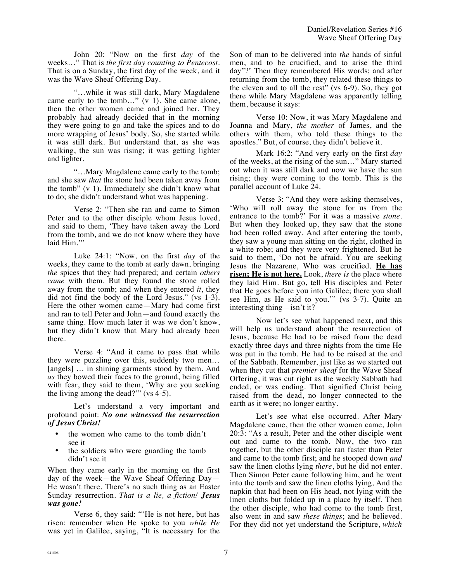John 20: "Now on the first *day* of the weeks…" That is *the first day counting to Pentecost*. That is on a Sunday, the first day of the week, and it was the Wave Sheaf Offering Day.

"…while it was still dark, Mary Magdalene came early to the tomb…" (v 1). She came alone, then the other women came and joined her. They probably had already decided that in the morning they were going to go and take the spices and to do more wrapping of Jesus' body. So, she started while it was still dark. But understand that, as she was walking, the sun was rising; it was getting lighter and lighter.

"…Mary Magdalene came early to the tomb; and she saw *that* the stone had been taken away from the tomb"  $(v 1)$ . Immediately she didn't know what to do; she didn't understand what was happening.

Verse 2: "Then she ran and came to Simon Peter and to the other disciple whom Jesus loved, and said to them, 'They have taken away the Lord from the tomb, and we do not know where they have laid Him."

Luke 24:1: "Now, on the first *day* of the weeks, they came to the tomb at early dawn, bringing *the* spices that they had prepared; and certain *others came* with them. But they found the stone rolled away from the tomb; and when they entered *it*, they did not find the body of the Lord Jesus." (vs 1-3). Here the other women came—Mary had come first and ran to tell Peter and John—and found exactly the same thing. How much later it was we don't know, but they didn't know that Mary had already been there.

Verse 4: "And it came to pass that while they were puzzling over this, suddenly two men… [angels] … in shining garments stood by them. And *as* they bowed their faces to the ground, being filled with fear, they said to them, 'Why are you seeking the living among the dead?'" (vs 4-5).

Let's understand a very important and profound point: *No one witnessed the resurrection of Jesus Christ!* 

- the women who came to the tomb didn't see it
- the soldiers who were guarding the tomb didn't see it

When they came early in the morning on the first day of the week—the Wave Sheaf Offering Day— He wasn't there. There's no such thing as an Easter Sunday resurrection. *That is a lie, a fiction! Jesus was gone!*

Verse 6, they said: "'He is not here, but has risen: remember when He spoke to you *while He* was yet in Galilee, saying, "It is necessary for the Son of man to be delivered into *the* hands of sinful men, and to be crucified, and to arise the third day"?' Then they remembered His words; and after returning from the tomb, they related these things to the eleven and to all the rest" (vs 6-9). So, they got there while Mary Magdalene was apparently telling them, because it says:

Verse 10: Now, it was Mary Magdalene and Joanna and Mary, *the mother* of James, and the others with them, who told these things to the apostles." But, of course, they didn't believe it.

Mark 16:2: "And very early on the first *day* of the weeks, at the rising of the sun…" Mary started out when it was still dark and now we have the sun rising; they were coming to the tomb. This is the parallel account of Luke 24.

Verse 3: "And they were asking themselves, 'Who will roll away the stone for us from the entrance to the tomb?' For it was a massive *stone*. But when they looked up, they saw that the stone had been rolled away. And after entering the tomb, they saw a young man sitting on the right, clothed in a white robe; and they were very frightened. But he said to them, 'Do not be afraid. You are seeking Jesus the Nazarene, Who was crucified. **He has risen; He is not here.** Look, *there is* the place where they laid Him. But go, tell His disciples and Peter that He goes before you into Galilee; there you shall see Him, as He said to you.'" (vs 3-7). Quite an interesting thing—isn't it?

Now let's see what happened next, and this will help us understand about the resurrection of Jesus, because He had to be raised from the dead exactly three days and three nights from the time He was put in the tomb. He had to be raised at the end of the Sabbath. Remember, just like as we started out when they cut that *premier sheaf* for the Wave Sheaf Offering, it was cut right as the weekly Sabbath had ended, or was ending. That signified Christ being raised from the dead, no longer connected to the earth as it were; no longer earthy.

Let's see what else occurred. After Mary Magdalene came, then the other women came, John 20:3: "As a result, Peter and the other disciple went out and came to the tomb. Now, the two ran together, but the other disciple ran faster than Peter and came to the tomb first; and he stooped down *and* saw the linen cloths lying *there*, but he did not enter. Then Simon Peter came following him, and he went into the tomb and saw the linen cloths lying, And the napkin that had been on His head, not lying with the linen cloths but folded up in a place by itself. Then the other disciple, who had come to the tomb first, also went in and saw *these things*; and he believed. For they did not yet understand the Scripture, *which*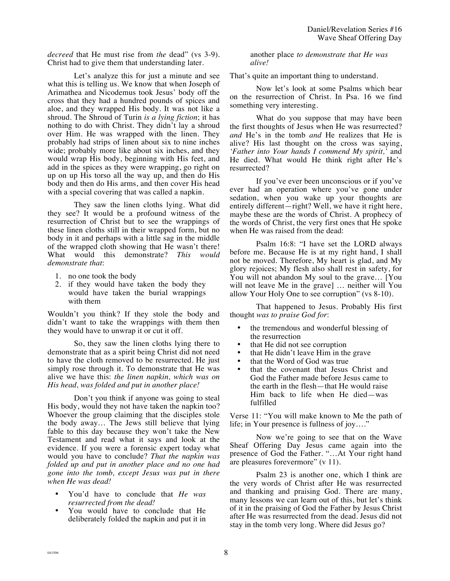*decreed* that He must rise from *the* dead" (vs 3-9). Christ had to give them that understanding later.

Let's analyze this for just a minute and see what this is telling us. We know that when Joseph of Arimathea and Nicodemus took Jesus' body off the cross that they had a hundred pounds of spices and aloe, and they wrapped His body. It was not like a shroud. The Shroud of Turin *is a lying fiction*; it has nothing to do with Christ. They didn't lay a shroud over Him. He was wrapped with the linen. They probably had strips of linen about six to nine inches wide; probably more like about six inches, and they would wrap His body, beginning with His feet, and add in the spices as they were wrapping, go right on up on up His torso all the way up, and then do His body and then do His arms, and then cover His head with a special covering that was called a napkin.

They saw the linen cloths lying. What did they see? It would be a profound witness of the resurrection of Christ but to see the wrappings of these linen cloths still in their wrapped form, but no body in it and perhaps with a little sag in the middle of the wrapped cloth showing that He wasn't there! What would this demonstrate? *This would demonstrate that*:

- 1. no one took the body
- 2. if they would have taken the body they would have taken the burial wrappings with them

Wouldn't you think? If they stole the body and didn't want to take the wrappings with them then they would have to unwrap it or cut it off.

So, they saw the linen cloths lying there to demonstrate that as a spirit being Christ did not need to have the cloth removed to be resurrected. He just simply rose through it. To demonstrate that He was alive we have this: *the linen napkin, which was on His head, was folded and put in another place!*

Don't you think if anyone was going to steal His body, would they not have taken the napkin too? Whoever the group claiming that the disciples stole the body away… The Jews still believe that lying fable to this day because they won't take the New Testament and read what it says and look at the evidence. If you were a forensic expert today what would you have to conclude? *That the napkin was folded up and put in another place and no one had gone into the tomb, except Jesus was put in there when He was dead!*

- You'd have to conclude that *He was resurrected from the dead!*
- You would have to conclude that He deliberately folded the napkin and put it in

another place *to demonstrate that He was alive!* 

That's quite an important thing to understand.

Now let's look at some Psalms which bear on the resurrection of Christ. In Psa. 16 we find something very interesting.

What do you suppose that may have been the first thoughts of Jesus when He was resurrected? *and* He's in the tomb *and* He realizes that He is alive? His last thought on the cross was saying, *'Father into Your hands I commend My spirit,'* and He died. What would He think right after He's resurrected?

If you've ever been unconscious or if you've ever had an operation where you've gone under sedation, when you wake up your thoughts are entirely different—right? Well, we have it right here, maybe these are the words of Christ. A prophecy of the words of Christ, the very first ones that He spoke when He was raised from the dead:

Psalm 16:8: "I have set the LORD always before me. Because He is at my right hand, I shall not be moved. Therefore, My heart is glad, and My glory rejoices; My flesh also shall rest in safety, for You will not abandon My soul to the grave… [You will not leave Me in the grave] … neither will You allow Your Holy One to see corruption" (vs 8-10).

That happened to Jesus. Probably His first thought *was to praise God for*:

- the tremendous and wonderful blessing of the resurrection
- that He did not see corruption
- that He didn't leave Him in the grave
- that the Word of God was true
- that the covenant that Jesus Christ and God the Father made before Jesus came to the earth in the flesh—that He would raise Him back to life when He died—was fulfilled

Verse 11: "You will make known to Me the path of life; in Your presence is fullness of joy…."

Now we're going to see that on the Wave Sheaf Offering Day Jesus came again into the presence of God the Father. "…At Your right hand are pleasures forevermore" (v 11).

Psalm 23 is another one, which I think are the very words of Christ after He was resurrected and thanking and praising God. There are many, many lessons we can learn out of this, but let's think of it in the praising of God the Father by Jesus Christ after He was resurrected from the dead. Jesus did not stay in the tomb very long. Where did Jesus go?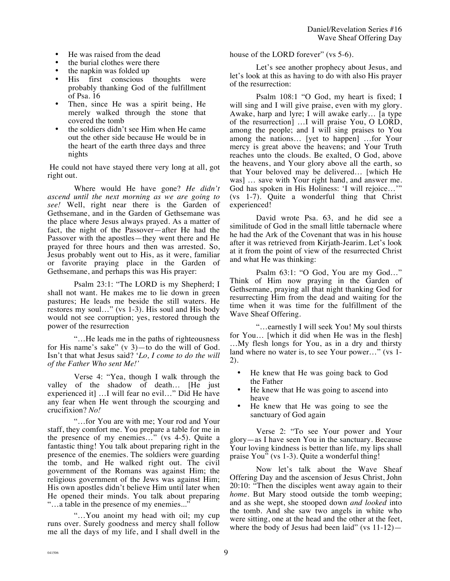- He was raised from the dead
- the burial clothes were there
- 
- the napkin was folded up<br>His first conscious first conscious thoughts were probably thanking God of the fulfillment of Psa. 16
- Then, since He was a spirit being, He merely walked through the stone that covered the tomb
- the soldiers didn't see Him when He came out the other side because He would be in the heart of the earth three days and three nights

 He could not have stayed there very long at all, got right out.

Where would He have gone? *He didn't ascend until the next morning as we are going to see!* Well, right near there is the Garden of Gethsemane, and in the Garden of Gethsemane was the place where Jesus always prayed. As a matter of fact, the night of the Passover—after He had the Passover with the apostles—they went there and He prayed for three hours and then was arrested. So, Jesus probably went out to His, as it were, familiar or favorite praying place in the Garden of Gethsemane, and perhaps this was His prayer:

Psalm 23:1: "The LORD is my Shepherd; I shall not want. He makes me to lie down in green pastures; He leads me beside the still waters. He restores my soul…" (vs 1-3). His soul and His body would not see corruption; yes, restored through the power of the resurrection

"…He leads me in the paths of righteousness for His name's sake"  $(v\ 3)$ —to do the will of God. Isn't that what Jesus said? '*Lo, I come to do the will of the Father Who sent Me!'*

Verse 4: "Yea, though I walk through the valley of the shadow of death... [He just] experienced it] …I will fear no evil…" Did He have any fear when He went through the scourging and crucifixion? *No!*

"…for You are with me; Your rod and Your staff, they comfort me. You prepare a table for me in the presence of my enemies…" (vs 4-5). Quite a fantastic thing! You talk about preparing right in the presence of the enemies. The soldiers were guarding the tomb, and He walked right out. The civil government of the Romans was against Him; the religious government of the Jews was against Him; His own apostles didn't believe Him until later when He opened their minds. You talk about preparing "…a table in the presence of my enemies..."

"…You anoint my head with oil; my cup runs over. Surely goodness and mercy shall follow me all the days of my life, and I shall dwell in the house of the LORD forever" (vs 5-6).

Let's see another prophecy about Jesus, and let's look at this as having to do with also His prayer of the resurrection:

Psalm 108:1 "O God, my heart is fixed; I will sing and I will give praise, even with my glory. Awake, harp and lyre; I will awake early… [a type of the resurrection] …I will praise You, O LORD, among the people; and I will sing praises to You among the nations… [yet to happen] …for Your mercy is great above the heavens; and Your Truth reaches unto the clouds. Be exalted, O God, above the heavens, and Your glory above all the earth, so that Your beloved may be delivered… [which He was] … save with Your right hand, and answer me. God has spoken in His Holiness: 'I will rejoice…'" (vs 1-7). Quite a wonderful thing that Christ experienced!

David wrote Psa. 63, and he did see a similitude of God in the small little tabernacle where he had the Ark of the Covenant that was in his house after it was retrieved from Kirjath-Jearim. Let's look at it from the point of view of the resurrected Christ and what He was thinking:

Psalm 63:1: "O God, You are my God…" Think of Him now praying in the Garden of Gethsemane, praying all that night thanking God for resurrecting Him from the dead and waiting for the time when it was time for the fulfillment of the Wave Sheaf Offering.

"…earnestly I will seek You! My soul thirsts for You… [which it did when He was in the flesh] …My flesh longs for You, as in a dry and thirsty land where no water is, to see Your power…" (vs 1- 2).

- He knew that He was going back to God the Father
- He knew that He was going to ascend into heave
- He knew that He was going to see the sanctuary of God again

Verse 2: "To see Your power and Your glory—as I have seen You in the sanctuary. Because Your loving kindness is better than life, my lips shall praise You" (vs 1-3). Quite a wonderful thing!

Now let's talk about the Wave Sheaf Offering Day and the ascension of Jesus Christ, John 20:10: "Then the disciples went away again to their *home*. But Mary stood outside the tomb weeping; and as she wept, she stooped down *and looked* into the tomb. And she saw two angels in white who were sitting, one at the head and the other at the feet, where the body of Jesus had been laid" (vs 11-12)—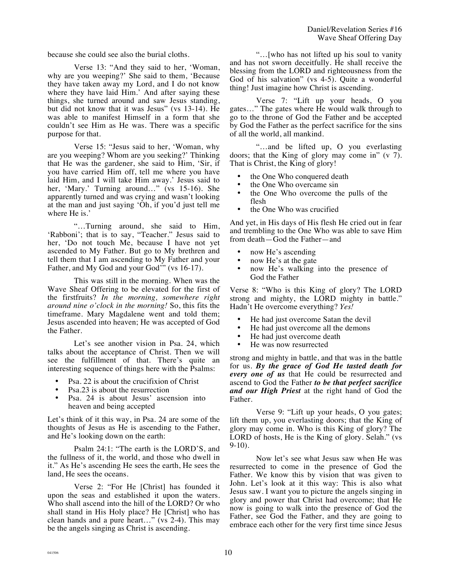because she could see also the burial cloths.

Verse 13: "And they said to her, 'Woman, why are you weeping?' She said to them, 'Because they have taken away my Lord, and I do not know where they have laid Him.' And after saying these things, she turned around and saw Jesus standing, but did not know that it was Jesus" (vs 13-14). He was able to manifest Himself in a form that she couldn't see Him as He was. There was a specific purpose for that.

Verse 15: "Jesus said to her, 'Woman, why are you weeping? Whom are you seeking?' Thinking that He was the gardener, she said to Him, 'Sir, if you have carried Him off, tell me where you have laid Him, and I will take Him away.' Jesus said to her, 'Mary.' Turning around…" (vs 15-16). She apparently turned and was crying and wasn't looking at the man and just saying 'Oh, if you'd just tell me where He is.'

"…Turning around, she said to Him, 'Rabboni'; that is to say, "Teacher." Jesus said to her, 'Do not touch Me, because I have not yet ascended to My Father. But go to My brethren and tell them that I am ascending to My Father and your Father, and My God and your God<sup>3</sup> (vs 16-17).

This was still in the morning. When was the Wave Sheaf Offering to be elevated for the first of the firstfruits? *In the morning, somewhere right around nine o'clock in the morning!* So, this fits the timeframe. Mary Magdalene went and told them; Jesus ascended into heaven; He was accepted of God the Father.

Let's see another vision in Psa. 24, which talks about the acceptance of Christ. Then we will see the fulfillment of that. There's quite an interesting sequence of things here with the Psalms:

- Psa. 22 is about the crucifixion of Christ
- Psa.23 is about the resurrection
- Psa. 24 is about Jesus' ascension into heaven and being accepted

Let's think of it this way, in Psa. 24 are some of the thoughts of Jesus as He is ascending to the Father, and He's looking down on the earth:

Psalm 24:1: "The earth is the LORD'S, and the fullness of it, the world, and those who dwell in it." As He's ascending He sees the earth, He sees the land, He sees the oceans.

Verse 2: "For He [Christ] has founded it upon the seas and established it upon the waters. Who shall ascend into the hill of the LORD? Or who shall stand in His Holy place? He [Christ] who has clean hands and a pure heart…" (vs 2-4). This may be the angels singing as Christ is ascending.

"…[who has not lifted up his soul to vanity and has not sworn deceitfully. He shall receive the blessing from the LORD and righteousness from the God of his salvation" (vs 4-5). Quite a wonderful thing! Just imagine how Christ is ascending.

Verse 7: "Lift up your heads, O you gates…" The gates where He would walk through to go to the throne of God the Father and be accepted by God the Father as the perfect sacrifice for the sins of all the world, all mankind.

"…and be lifted up, O you everlasting doors; that the King of glory may come in" (v 7). That is Christ, the King of glory!

- the One Who conquered death
- the One Who overcame sin
- the One Who overcome the pulls of the flesh
- the One Who was crucified

And yet, in His days of His flesh He cried out in fear and trembling to the One Who was able to save Him from death—God the Father—and

- now He's ascending<br>• now He's at the gate
- now He's at the gate
- now He's walking into the presence of God the Father

Verse 8: "Who is this King of glory? The LORD strong and mighty, the LORD mighty in battle." Hadn't He overcome everything? *Yes!*

- He had just overcome Satan the devil
- He had just overcome all the demons
- He had just overcome death<br>• He was now resurrected
- He was now resurrected

strong and mighty in battle, and that was in the battle for us. *By the grace of God He tasted death for every one of us* that He could be resurrected and ascend to God the Father *to be that perfect sacrifice and our High Priest* at the right hand of God the Father.

Verse 9: "Lift up your heads, O you gates; lift them up, you everlasting doors; that the King of glory may come in. Who is this King of glory? The LORD of hosts, He is the King of glory. Selah." (vs 9-10).

Now let's see what Jesus saw when He was resurrected to come in the presence of God the Father. We know this by vision that was given to John. Let's look at it this way: This is also what Jesus saw. I want you to picture the angels singing in glory and power that Christ had overcome; that He now is going to walk into the presence of God the Father, see God the Father, and they are going to embrace each other for the very first time since Jesus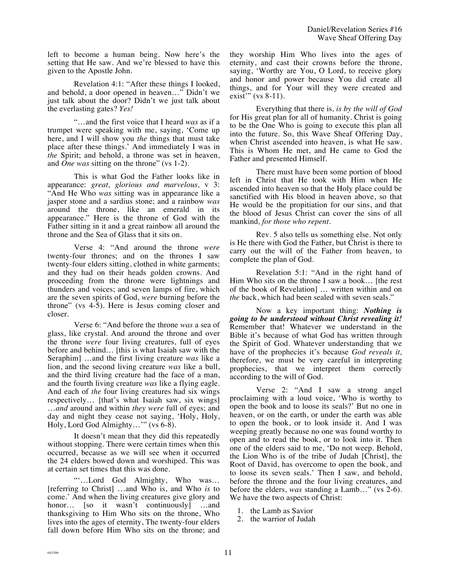left to become a human being. Now here's the setting that He saw. And we're blessed to have this given to the Apostle John.

Revelation 4:1: "After these things I looked, and behold, a door opened in heaven…" Didn't we just talk about the door? Didn't we just talk about the everlasting gates? *Yes!*

"…and the first voice that I heard *was* as if a trumpet were speaking with me, saying, 'Come up here, and I will show you *the* things that must take place after these things.' And immediately I was in *the* Spirit; and behold, a throne was set in heaven, and *One was* sitting on the throne" (vs 1-2).

This is what God the Father looks like in appearance: *great, glorious and marvelous,* v 3: "And He Who *was* sitting was in appearance like a jasper stone and a sardius stone; and a rainbow *was* around the throne, like an emerald in its appearance." Here is the throne of God with the Father sitting in it and a great rainbow all around the throne and the Sea of Glass that it sits on.

Verse 4: "And around the throne *were* twenty-four thrones; and on the thrones I saw twenty-four elders sitting, clothed in white garments; and they had on their heads golden crowns. And proceeding from the throne were lightnings and thunders and voices; and seven lamps of fire, which are the seven spirits of God, *were* burning before the throne" (vs 4-5). Here is Jesus coming closer and closer.

Verse 6: "And before the throne *was* a sea of glass, like crystal. And around the throne and over the throne *were* four living creatures, full of eyes before and behind… [this is what Isaiah saw with the Seraphim] …and the first living creature *was* like a lion, and the second living creature *was* like a bull, and the third living creature had the face of a man, and the fourth living creature *was* like a flying eagle. And each of *the* four living creatures had six wings respectively… [that's what Isaiah saw, six wings] …*and* around and within *they were* full of eyes; and day and night they cease not saying, 'Holy, Holy, Holy, Lord God Almighty…'" (vs 6-8).

It doesn't mean that they did this repeatedly without stopping. There were certain times when this occurred, because as we will see when it occurred the 24 elders bowed down and worshiped. This was at certain set times that this was done.

"'…Lord God Almighty, Who was… [referring to Christ] …and Who is, and Who *is* to come.' And when the living creatures give glory and honor… [so it wasn't continuously] …and thanksgiving to Him Who sits on the throne, Who lives into the ages of eternity, The twenty-four elders fall down before Him Who sits on the throne; and they worship Him Who lives into the ages of eternity, and cast their crowns before the throne, saying, 'Worthy are You, O Lord, to receive glory and honor and power because You did create all things, and for Your will they were created and exist" (vs 8-11).

Everything that there is*, is by the will of God* for His great plan for all of humanity. Christ is going to be the One Who is going to execute this plan all into the future. So, this Wave Sheaf Offering Day, when Christ ascended into heaven, is what He saw. This is Whom He met, and He came to God the Father and presented Himself.

There must have been some portion of blood left in Christ that He took with Him when He ascended into heaven so that the Holy place could be sanctified with His blood in heaven above, so that He would be the propitiation for our sins, and that the blood of Jesus Christ can cover the sins of all mankind*, for those who repent.*

Rev. 5 also tells us something else. Not only is He there with God the Father, but Christ is there to carry out the will of the Father from heaven, to complete the plan of God.

Revelation 5:1: "And in the right hand of Him Who sits on the throne I saw a book… [the rest of the book of Revelation] … written within and on *the* back, which had been sealed with seven seals."

Now a key important thing: *Nothing is going to be understood without Christ revealing it!*  Remember that! Whatever we understand in the Bible it's because of what God has written through the Spirit of God. Whatever understanding that we have of the prophecies it's because *God reveals it,* therefore, we must be very careful in interpreting prophecies, that we interpret them correctly according to the will of God.

Verse 2: "And I saw a strong angel proclaiming with a loud voice, 'Who is worthy to open the book and to loose its seals?' But no one in heaven, or on the earth, or under the earth was able to open the book, or to look inside it. And I was weeping greatly because no one was found worthy to open and to read the book, or to look into it. Then one of the elders said to me, 'Do not weep. Behold, the Lion Who is of the tribe of Judah [Christ], the Root of David, has overcome to open the book, and to loose its seven seals.' Then I saw, and behold, before the throne and the four living creatures, and before the elders, *was* standing a Lamb…" (vs 2-6). We have the two aspects of Christ:

- 1. the Lamb as Savior
- 2. the warrior of Judah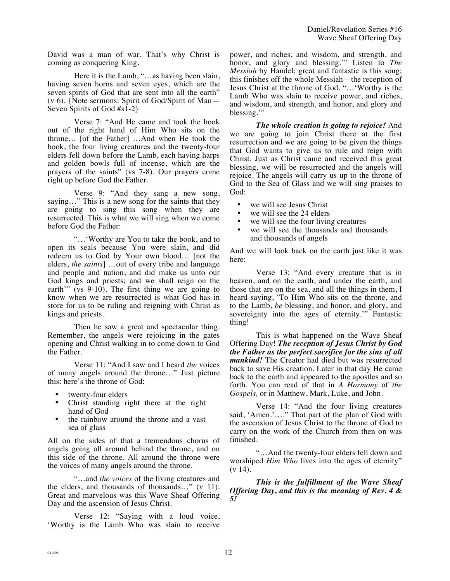David was a man of war. That's why Christ is coming as conquering King.

Here it is the Lamb, "…as having been slain, having seven horns and seven eyes, which are the seven spirits of God that are sent into all the earth" (v 6). {Note sermons: Spirit of God/Spirit of Man— Seven Spirits of God #s1-2}

Verse 7: "And He came and took the book out of the right hand of Him Who sits on the throne… [of the Father] …And when He took the book, the four living creatures and the twenty-four elders fell down before the Lamb, each having harps and golden bowls full of incense, which are the prayers of the saints" (vs 7-8). Our prayers come right up before God the Father.

Verse 9: "And they sang a new song, saying…" This is a new song for the saints that they are going to sing this song when they are resurrected. This is what we will sing when we come before God the Father:

"…'Worthy are You to take the book, and to open its seals because You were slain, and did redeem us to God by Your own blood… [not the elders, *the saints*] …out of every tribe and language and people and nation, and did make us unto our God kings and priests; and we shall reign on the earth'" (vs 9-10). The first thing we are going to know when we are resurrected is what God has in store for us to be ruling and reigning with Christ as kings and priests.

Then he saw a great and spectacular thing. Remember, the angels were rejoicing in the gates opening and Christ walking in to come down to God the Father.

Verse 11: "And I saw and I heard *the* voices of many angels around the throne…" Just picture this: here's the throne of God:

- twenty-four elders
- Christ standing right there at the right hand of God
- the rainbow around the throne and a vast sea of glass

All on the sides of that a tremendous chorus of angels going all around behind the throne, and on this side of the throne. All around the throne were the voices of many angels around the throne.

"…and *the voices* of the living creatures and the elders, and thousands of thousands…" (v 11). Great and marvelous was this Wave Sheaf Offering Day and the ascension of Jesus Christ.

Verse 12: "Saying with a loud voice, 'Worthy is the Lamb Who was slain to receive power, and riches, and wisdom, and strength, and honor, and glory and blessing.'" Listen to *The Messiah* by Handel; great and fantastic is this song; this finishes off the whole Messiah—the reception of Jesus Christ at the throne of God. "…'Worthy is the Lamb Who was slain to receive power, and riches, and wisdom, and strength, and honor, and glory and blessing.'"

*The whole creation is going to rejoice!* And we are going to join Christ there at the first resurrection and we are going to be given the things that God wants to give us to rule and reign with Christ. Just as Christ came and received this great blessing, we will be resurrected and the angels will rejoice. The angels will carry us up to the throne of God to the Sea of Glass and we will sing praises to God:

- we will see Jesus Christ
- we will see the 24 elders<br>• we will see the four livin
- we will see the four living creatures
- we will see the thousands and thousands and thousands of angels

And we will look back on the earth just like it was here:

Verse 13: "And every creature that is in heaven, and on the earth, and under the earth, and those that are on the sea, and all the things in them, I heard saying, 'To Him Who sits on the throne, and to the Lamb, *be* blessing, and honor, and glory, and sovereignty into the ages of eternity.'" Fantastic thing!

This is what happened on the Wave Sheaf Offering Day! *The reception of Jesus Christ by God the Father as the perfect sacrifice for the sins of all mankind!* The Creator had died but was resurrected back to save His creation. Later in that day He came back to the earth and appeared to the apostles and so forth. You can read of that in *A Harmony* of *the Gospels,* or in Matthew, Mark, Luke, and John.

Verse 14: "And the four living creatures said, 'Amen.'...." That part of the plan of God with the ascension of Jesus Christ to the throne of God to carry on the work of the Church from then on was finished.

"…And the twenty-four elders fell down and worshiped *Him Who* lives into the ages of eternity"  $(v 14)$ .

*This is the fulfillment of the Wave Sheaf Offering Day, and this is the meaning of Rev. 4 & 5!*